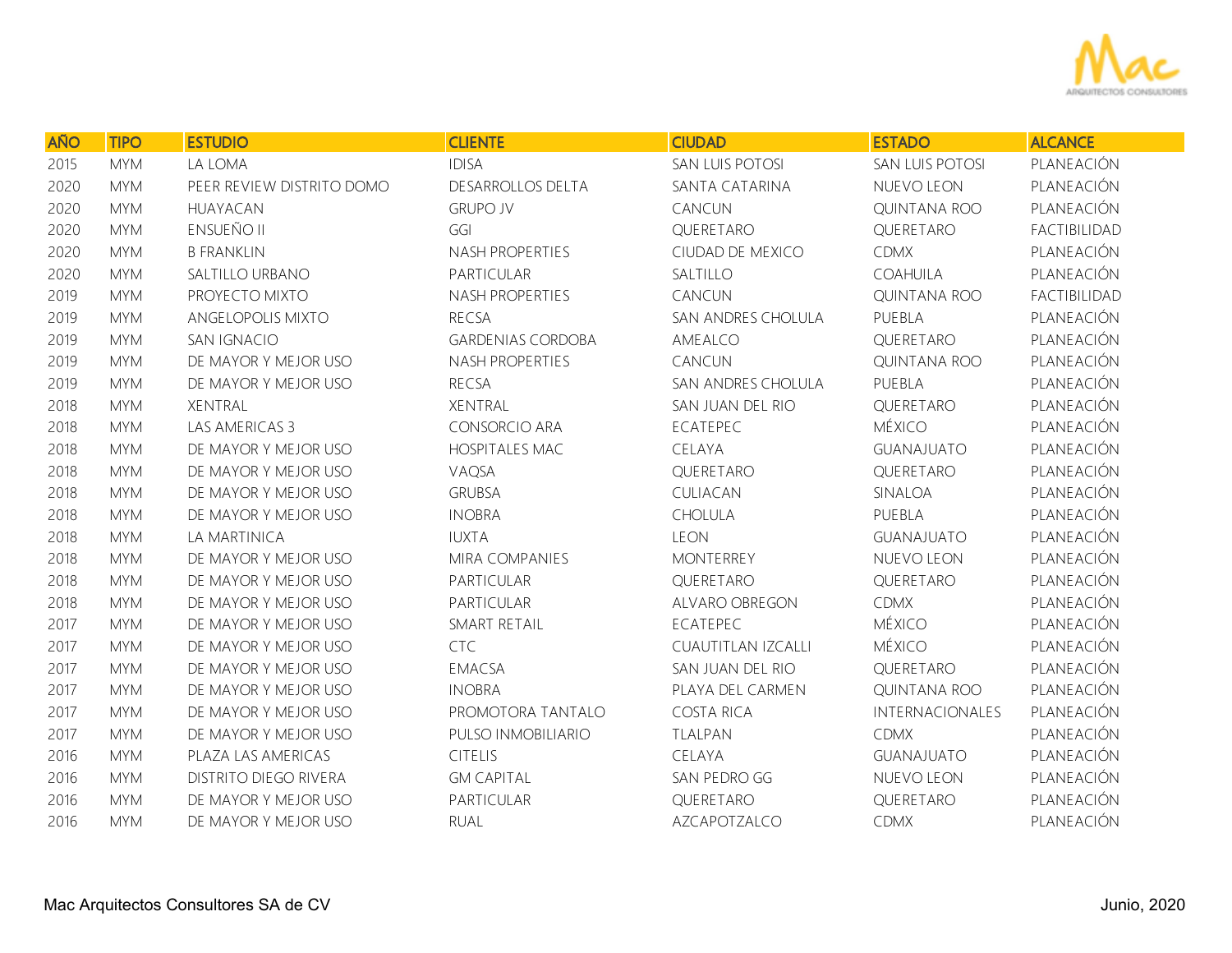

| <b>AÑO</b> | <b>TIPO</b> | <b>ESTUDIO</b>               | <b>CLIENTE</b>           | <b>CIUDAD</b>      | <b>ESTADO</b>       | <b>ALCANCE</b> |
|------------|-------------|------------------------------|--------------------------|--------------------|---------------------|----------------|
| 2015       | <b>MYM</b>  | LA LOMA                      | <b>IDISA</b>             | SAN LUIS POTOSI    | SAN LUIS POTOSI     | PLANEACIÓN     |
| 2020       | <b>MYM</b>  | PEER REVIEW DISTRITO DOMO    | DESARROLLOS DELTA        | SANTA CATARINA     | NUEVO LEON          | PLANEACIÓN     |
| 2020       | <b>MYM</b>  | HUAYACAN                     | <b>GRUPO JV</b>          | CANCUN             | QUINTANA ROO        | PLANEACIÓN     |
| 2020       | <b>MYM</b>  | <b>ENSUEÑO II</b>            | GGI                      | QUERETARO          | QUERETARO           | FACTIBILIDAD   |
| 2020       | <b>MYM</b>  | <b>B FRANKLIN</b>            | NASH PROPERTIES          | CIUDAD DE MEXICO   | <b>CDMX</b>         | PLANEACIÓN     |
| 2020       | <b>MYM</b>  | SALTILLO URBANO              | PARTICULAR               | SALTILLO           | COAHUILA            | PLANEACIÓN     |
| 2019       | <b>MYM</b>  | PROYECTO MIXTO               | NASH PROPERTIES          | CANCUN             | <b>QUINTANA ROO</b> | FACTIBILIDAD   |
| 2019       | <b>MYM</b>  | ANGELOPOLIS MIXTO            | <b>RECSA</b>             | SAN ANDRES CHOLULA | PUEBLA              | PLANEACIÓN     |
| 2019       | <b>MYM</b>  | SAN IGNACIO                  | <b>GARDENIAS CORDOBA</b> | AMEALCO            | QUERETARO           | PLANEACIÓN     |
| 2019       | <b>MYM</b>  | DE MAYOR Y MEJOR USO         | NASH PROPERTIES          | CANCUN             | QUINTANA ROO        | PLANEACIÓN     |
| 2019       | <b>MYM</b>  | DE MAYOR Y MEJOR USO         | <b>RECSA</b>             | SAN ANDRES CHOLULA | PUEBLA              | PLANEACIÓN     |
| 2018       | <b>MYM</b>  | XENTRAL                      | XENTRAL                  | SAN JUAN DEL RIO   | QUERETARO           | PLANEACIÓN     |
| 2018       | <b>MYM</b>  | LAS AMERICAS 3               | CONSORCIO ARA            | ECATEPEC           | MÉXICO              | PLANEACIÓN     |
| 2018       | <b>MYM</b>  | DE MAYOR Y MEJOR USO         | <b>HOSPITALES MAC</b>    | CELAYA             | <b>GUANAJUATO</b>   | PLANEACIÓN     |
| 2018       | <b>MYM</b>  | DE MAYOR Y MEJOR USO         | VAQSA                    | QUERETARO          | QUERETARO           | PLANEACIÓN     |
| 2018       | <b>MYM</b>  | DE MAYOR Y MEJOR USO         | <b>GRUBSA</b>            | CULIACAN           | SINALOA             | PLANEACIÓN     |
| 2018       | <b>MYM</b>  | DE MAYOR Y MEJOR USO         | <b>INOBRA</b>            | CHOLULA            | PUEBLA              | PLANEACIÓN     |
| 2018       | <b>MYM</b>  | LA MARTINICA                 | <b>IUXTA</b>             | <b>LEON</b>        | <b>GUANAJUATO</b>   | PLANEACIÓN     |
| 2018       | <b>MYM</b>  | DE MAYOR Y MEJOR USO         | MIRA COMPANIES           | <b>MONTERREY</b>   | NUEVO LEON          | PLANEACIÓN     |
| 2018       | <b>MYM</b>  | DE MAYOR Y MEJOR USO         | PARTICULAR               | QUERETARO          | QUERETARO           | PLANEACIÓN     |
| 2018       | <b>MYM</b>  | DE MAYOR Y MEJOR USO         | PARTICULAR               | ALVARO OBREGON     | <b>CDMX</b>         | PLANEACIÓN     |
| 2017       | <b>MYM</b>  | DE MAYOR Y MEJOR USO         | SMART RETAIL             | ECATEPEC           | <b>MÉXICO</b>       | PLANEACIÓN     |
| 2017       | <b>MYM</b>  | DE MAYOR Y MEJOR USO         | <b>CTC</b>               | CUAUTITLAN IZCALLI | <b>MÉXICO</b>       | PLANEACIÓN     |
| 2017       | <b>MYM</b>  | DE MAYOR Y MEJOR USO         | EMACSA                   | SAN JUAN DEL RIO   | QUERETARO           | PLANEACIÓN     |
| 2017       | <b>MYM</b>  | DE MAYOR Y MEJOR USO         | <b>INOBRA</b>            | PLAYA DEL CARMEN   | QUINTANA ROO        | PLANEACIÓN     |
| 2017       | <b>MYM</b>  | DE MAYOR Y MEJOR USO         | PROMOTORA TANTALO        | <b>COSTA RICA</b>  | INTERNACIONALES     | PLANEACIÓN     |
| 2017       | <b>MYM</b>  | DE MAYOR Y MEJOR USO         | PULSO INMOBILIARIO       | TLALPAN            | <b>CDMX</b>         | PLANEACIÓN     |
| 2016       | <b>MYM</b>  | PLAZA LAS AMERICAS           | CITELIS                  | CELAYA             | <b>GUANAJUATO</b>   | PLANEACIÓN     |
| 2016       | <b>MYM</b>  | <b>DISTRITO DIEGO RIVERA</b> | <b>GM CAPITAL</b>        | SAN PEDRO GG       | NUEVO LEON          | PLANEACIÓN     |
| 2016       | <b>MYM</b>  | DE MAYOR Y MEJOR USO         | PARTICULAR               | QUERETARO          | QUERETARO           | PLANEACIÓN     |
| 2016       | <b>MYM</b>  | DE MAYOR Y MEJOR USO         | <b>RUAL</b>              | AZCAPOTZALCO       | <b>CDMX</b>         | PLANEACIÓN     |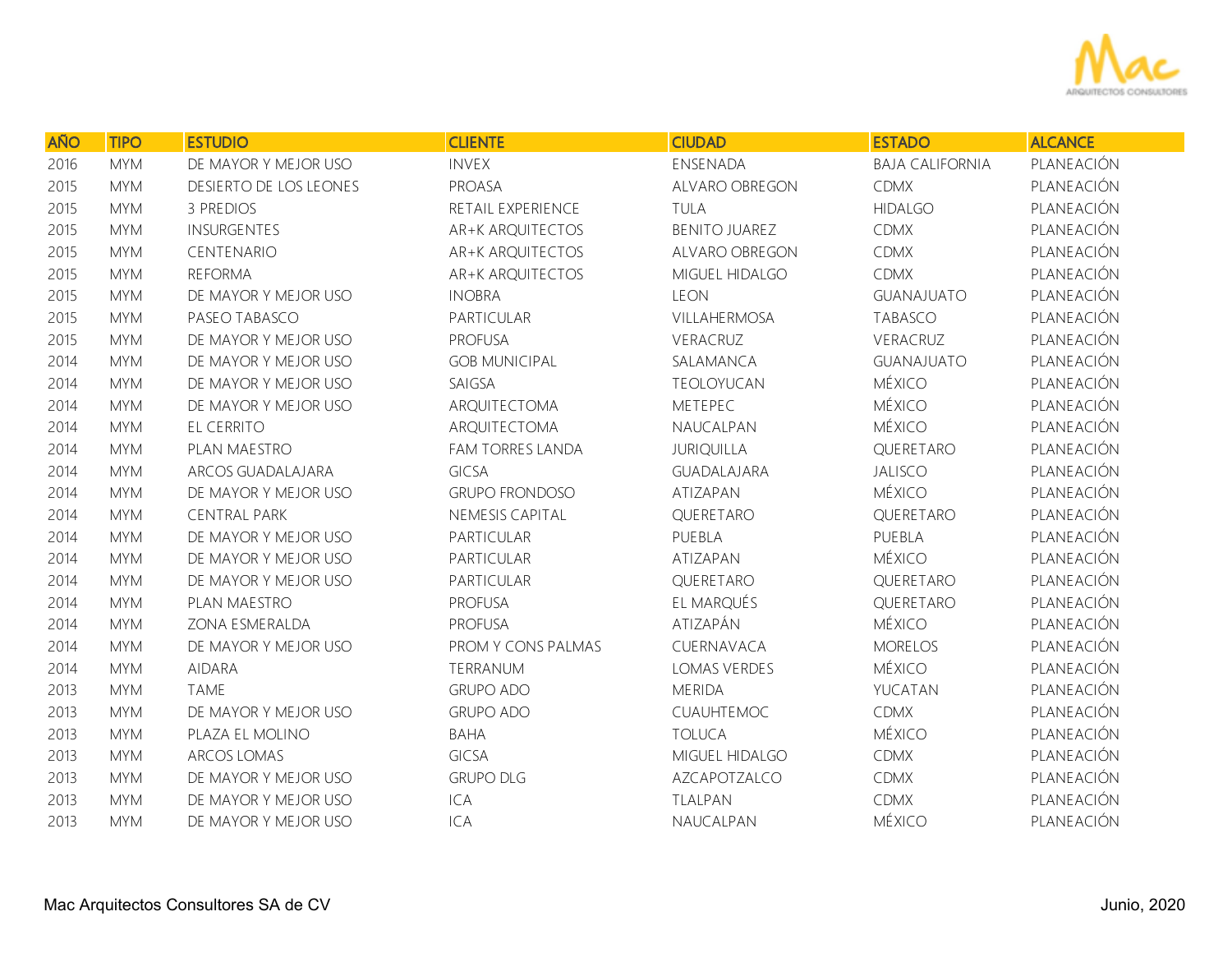

| <b>AÑO</b> | <b>TIPO</b> | <b>ESTUDIO</b>         | <b>CLIENTE</b>        | <b>CIUDAD</b>        | <b>ESTADO</b>          | <b>ALCANCE</b> |
|------------|-------------|------------------------|-----------------------|----------------------|------------------------|----------------|
| 2016       | <b>MYM</b>  | DE MAYOR Y MEJOR USO   | <b>INVEX</b>          | ENSENADA             | <b>BAJA CALIFORNIA</b> | PLANEACIÓN     |
| 2015       | <b>MYM</b>  | DESIERTO DE LOS LEONES | PROASA                | ALVARO OBREGON       | <b>CDMX</b>            | PLANEACIÓN     |
| 2015       | <b>MYM</b>  | 3 PREDIOS              | RETAIL EXPERIENCE     | TULA                 | <b>HIDALGO</b>         | PLANEACIÓN     |
| 2015       | <b>MYM</b>  | <b>INSURGENTES</b>     | AR+K ARQUITECTOS      | <b>BENITO JUAREZ</b> | <b>CDMX</b>            | PLANEACIÓN     |
| 2015       | <b>MYM</b>  | CENTENARIO             | AR+K ARQUITECTOS      | ALVARO OBREGON       | <b>CDMX</b>            | PLANEACIÓN     |
| 2015       | <b>MYM</b>  | <b>REFORMA</b>         | AR+K ARQUITECTOS      | MIGUEL HIDALGO       | <b>CDMX</b>            | PLANEACIÓN     |
| 2015       | <b>MYM</b>  | DE MAYOR Y MEJOR USO   | <b>INOBRA</b>         | <b>LEON</b>          | <b>GUANAJUATO</b>      | PLANEACIÓN     |
| 2015       | <b>MYM</b>  | PASEO TABASCO          | PARTICULAR            | VILLAHERMOSA         | <b>TABASCO</b>         | PLANEACIÓN     |
| 2015       | <b>MYM</b>  | DE MAYOR Y MEJOR USO   | <b>PROFUSA</b>        | VERACRUZ             | VERACRUZ               | PLANEACIÓN     |
| 2014       | <b>MYM</b>  | DE MAYOR Y MEJOR USO   | <b>GOB MUNICIPAL</b>  | SALAMANCA            | <b>GUANAJUATO</b>      | PLANEACIÓN     |
| 2014       | <b>MYM</b>  | DE MAYOR Y MEJOR USO   | SAIGSA                | TEOLOYUCAN           | <b>MÉXICO</b>          | PLANEACIÓN     |
| 2014       | <b>MYM</b>  | DE MAYOR Y MEJOR USO   | ARQUITECTOMA          | METEPEC              | MÉXICO                 | PLANEACIÓN     |
| 2014       | <b>MYM</b>  | EL CERRITO             | ARQUITECTOMA          | NAUCALPAN            | <b>MÉXICO</b>          | PLANEACIÓN     |
| 2014       | <b>MYM</b>  | PLAN MAESTRO           | FAM TORRES LANDA      | <b>JURIQUILLA</b>    | QUERETARO              | PLANEACIÓN     |
| 2014       | <b>MYM</b>  | ARCOS GUADALAJARA      | <b>GICSA</b>          | GUADALAJARA          | <b>JALISCO</b>         | PLANEACIÓN     |
| 2014       | <b>MYM</b>  | DE MAYOR Y MEJOR USO   | <b>GRUPO FRONDOSO</b> | ATIZAPAN             | <b>MÉXICO</b>          | PLANEACIÓN     |
| 2014       | <b>MYM</b>  | <b>CENTRAL PARK</b>    | NEMESIS CAPITAL       | QUERETARO            | QUERETARO              | PLANEACIÓN     |
| 2014       | <b>MYM</b>  | DE MAYOR Y MEJOR USO   | PARTICULAR            | PUEBLA               | PUEBLA                 | PLANEACIÓN     |
| 2014       | <b>MYM</b>  | DE MAYOR Y MEJOR USO   | PARTICULAR            | ATIZAPAN             | <b>MÉXICO</b>          | PLANEACIÓN     |
| 2014       | <b>MYM</b>  | DE MAYOR Y MEJOR USO   | PARTICULAR            | QUERETARO            | QUERETARO              | PLANEACIÓN     |
| 2014       | <b>MYM</b>  | PLAN MAESTRO           | <b>PROFUSA</b>        | EL MARQUÉS           | QUERETARO              | PLANEACIÓN     |
| 2014       | <b>MYM</b>  | ZONA ESMERALDA         | <b>PROFUSA</b>        | ATIZAPÁN             | <b>MÉXICO</b>          | PLANEACIÓN     |
| 2014       | <b>MYM</b>  | DE MAYOR Y MEJOR USO   | PROM Y CONS PALMAS    | CUERNAVACA           | <b>MORELOS</b>         | PLANEACIÓN     |
| 2014       | <b>MYM</b>  | <b>AIDARA</b>          | TERRANUM              | LOMAS VERDES         | <b>MÉXICO</b>          | PLANEACIÓN     |
| 2013       | <b>MYM</b>  | <b>TAME</b>            | <b>GRUPO ADO</b>      | <b>MERIDA</b>        | YUCATAN                | PLANEACIÓN     |
| 2013       | <b>MYM</b>  | DE MAYOR Y MEJOR USO   | <b>GRUPO ADO</b>      | CUAUHTEMOC           | <b>CDMX</b>            | PLANEACIÓN     |
| 2013       | <b>MYM</b>  | PLAZA EL MOLINO        | <b>BAHA</b>           | <b>TOLUCA</b>        | <b>MÉXICO</b>          | PLANEACIÓN     |
| 2013       | <b>MYM</b>  | ARCOS LOMAS            | <b>GICSA</b>          | MIGUEL HIDALGO       | <b>CDMX</b>            | PLANEACIÓN     |
| 2013       | <b>MYM</b>  | DE MAYOR Y MEJOR USO   | <b>GRUPO DLG</b>      | AZCAPOTZALCO         | <b>CDMX</b>            | PLANEACIÓN     |
| 2013       | <b>MYM</b>  | DE MAYOR Y MEJOR USO   | <b>ICA</b>            | TLALPAN              | <b>CDMX</b>            | PLANEACIÓN     |
| 2013       | <b>MYM</b>  | DE MAYOR Y MEJOR USO   | <b>ICA</b>            | NAUCALPAN            | <b>MÉXICO</b>          | PLANEACIÓN     |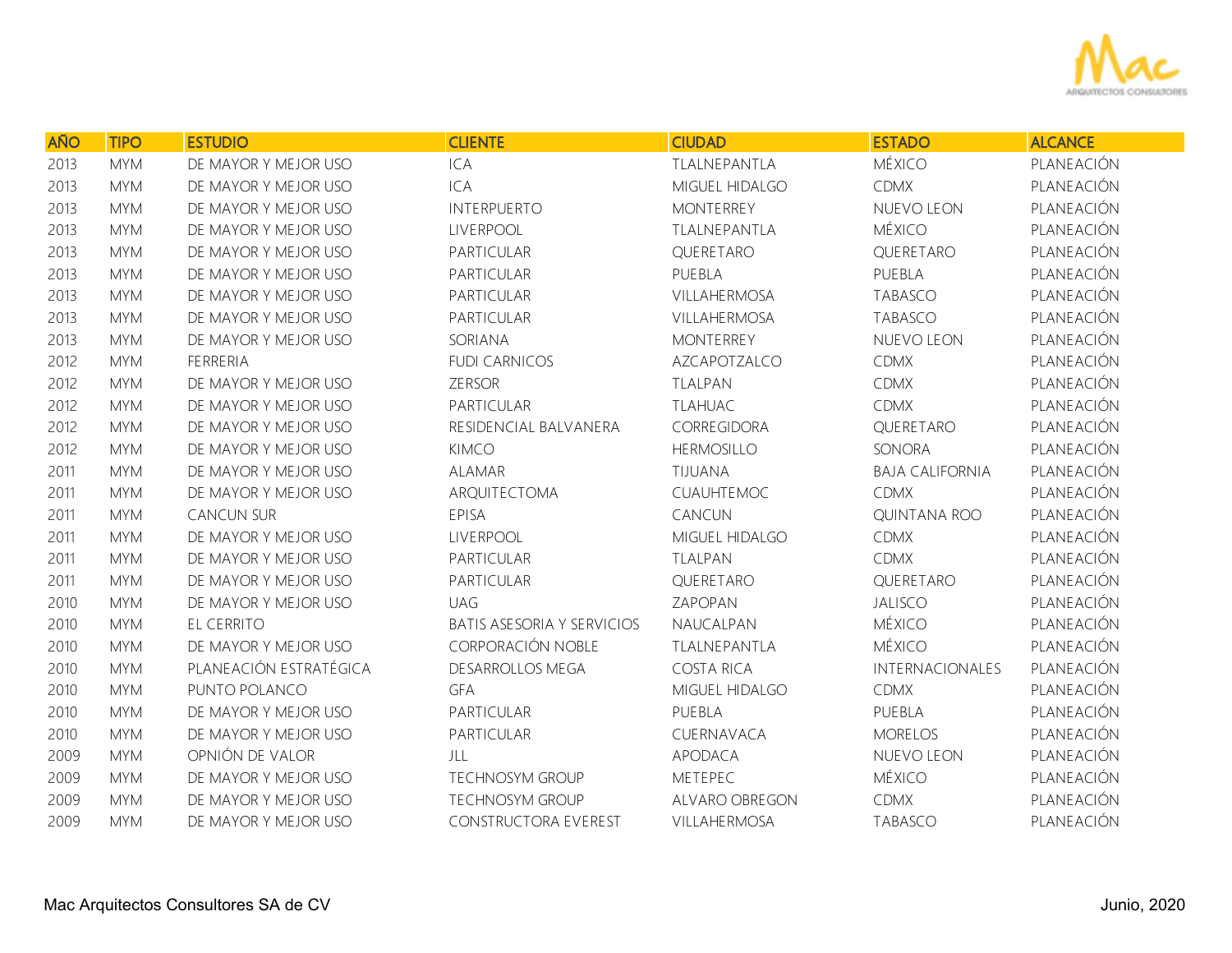

| <b>AÑO</b> | <b>TIPO</b> | <b>ESTUDIO</b>         | <b>CLIENTE</b>                    | <b>CIUDAD</b>         | <b>ESTADO</b>          | <b>ALCANCE</b> |
|------------|-------------|------------------------|-----------------------------------|-----------------------|------------------------|----------------|
| 2013       | <b>MYM</b>  | DE MAYOR Y MEJOR USO   | ICA                               | TLALNEPANTLA          | <b>MÉXICO</b>          | PLANEACIÓN     |
| 2013       | <b>MYM</b>  | DE MAYOR Y MEJOR USO   | ICA                               | MIGUEL HIDALGO        | <b>CDMX</b>            | PLANEACIÓN     |
| 2013       | <b>MYM</b>  | DE MAYOR Y MEJOR USO   | <b>INTERPUERTO</b>                | <b>MONTERREY</b>      | NUEVO LEON             | PLANEACIÓN     |
| 2013       | <b>MYM</b>  | DE MAYOR Y MEJOR USO   | LIVERPOOL                         | TLALNEPANTLA          | <b>MÉXICO</b>          | PLANEACIÓN     |
| 2013       | <b>MYM</b>  | DE MAYOR Y MEJOR USO   | PARTICULAR                        | QUERETARO             | QUERETARO              | PLANEACIÓN     |
| 2013       | <b>MYM</b>  | DE MAYOR Y MEJOR USO   | PARTICULAR                        | PUEBLA                | PUEBLA                 | PLANEACIÓN     |
| 2013       | <b>MYM</b>  | DE MAYOR Y MEJOR USO   | PARTICULAR                        | <b>VILLAHERMOSA</b>   | TABASCO                | PLANEACIÓN     |
| 2013       | <b>MYM</b>  | DE MAYOR Y MEJOR USO   | PARTICULAR                        | <b>VILLAHERMOSA</b>   | TABASCO                | PLANEACIÓN     |
| 2013       | <b>MYM</b>  | DE MAYOR Y MEJOR USO   | SORIANA                           | <b>MONTERREY</b>      | NUEVO LEON             | PLANEACIÓN     |
| 2012       | <b>MYM</b>  | FERRERIA               | <b>FUDI CARNICOS</b>              | AZCAPOTZALCO          | <b>CDMX</b>            | PLANEACIÓN     |
| 2012       | <b>MYM</b>  | DE MAYOR Y MEJOR USO   | <b>ZERSOR</b>                     | TLALPAN               | <b>CDMX</b>            | PLANEACIÓN     |
| 2012       | <b>MYM</b>  | DE MAYOR Y MEJOR USO   | PARTICULAR                        | <b>TLAHUAC</b>        | <b>CDMX</b>            | PLANEACIÓN     |
| 2012       | <b>MYM</b>  | DE MAYOR Y MEJOR USO   | RESIDENCIAL BALVANERA             | CORREGIDORA           | QUERETARO              | PLANEACIÓN     |
| 2012       | <b>MYM</b>  | DE MAYOR Y MEJOR USO   | <b>KIMCO</b>                      | <b>HERMOSILLO</b>     | SONORA                 | PLANEACIÓN     |
| 2011       | <b>MYM</b>  | DE MAYOR Y MEJOR USO   | <b>ALAMAR</b>                     | TIJUANA               | <b>BAJA CALIFORNIA</b> | PLANEACIÓN     |
| 2011       | <b>MYM</b>  | DE MAYOR Y MEJOR USO   | ARQUITECTOMA                      | CUAUHTEMOC            | <b>CDMX</b>            | PLANEACIÓN     |
| 2011       | <b>MYM</b>  | <b>CANCUN SUR</b>      | EPISA                             | CANCUN                | <b>QUINTANA ROO</b>    | PLANEACIÓN     |
| 2011       | <b>MYM</b>  | DE MAYOR Y MEJOR USO   | LIVERPOOL                         | MIGUEL HIDALGO        | <b>CDMX</b>            | PLANEACIÓN     |
| 2011       | <b>MYM</b>  | DE MAYOR Y MEJOR USO   | PARTICULAR                        | TLALPAN               | <b>CDMX</b>            | PLANEACIÓN     |
| 2011       | <b>MYM</b>  | DE MAYOR Y MEJOR USO   | PARTICULAR                        | QUERETARO             | QUERETARO              | PLANEACIÓN     |
| 2010       | <b>MYM</b>  | DE MAYOR Y MEJOR USO   | <b>UAG</b>                        | ZAPOPAN               | <b>JALISCO</b>         | PLANEACIÓN     |
| 2010       | <b>MYM</b>  | EL CERRITO             | <b>BATIS ASESORIA Y SERVICIOS</b> | NAUCALPAN             | <b>MÉXICO</b>          | PLANEACIÓN     |
| 2010       | <b>MYM</b>  | DE MAYOR Y MEJOR USO   | CORPORACIÓN NOBLE                 | TLALNEPANTLA          | <b>MÉXICO</b>          | PLANEACIÓN     |
| 2010       | <b>MYM</b>  | PLANEACIÓN ESTRATÉGICA | DESARROLLOS MEGA                  | <b>COSTA RICA</b>     | INTERNACIONALES        | PLANEACIÓN     |
| 2010       | <b>MYM</b>  | PUNTO POLANCO          | <b>GFA</b>                        | MIGUEL HIDALGO        | <b>CDMX</b>            | PLANEACIÓN     |
| 2010       | <b>MYM</b>  | DE MAYOR Y MEJOR USO   | PARTICULAR                        | PUEBLA                | PUEBLA                 | PLANEACIÓN     |
| 2010       | <b>MYM</b>  | DE MAYOR Y MEJOR USO   | PARTICULAR                        | CUERNAVACA            | <b>MORELOS</b>         | PLANEACIÓN     |
| 2009       | <b>MYM</b>  | OPNIÓN DE VALOR        | JLL                               | APODACA               | NUEVO LEON             | PLANEACIÓN     |
| 2009       | <b>MYM</b>  | DE MAYOR Y MEJOR USO   | <b>TECHNOSYM GROUP</b>            | METEPEC               | MÉXICO                 | PLANEACIÓN     |
| 2009       | <b>MYM</b>  | DE MAYOR Y MEJOR USO   | <b>TECHNOSYM GROUP</b>            | <b>ALVARO OBREGON</b> | <b>CDMX</b>            | PLANEACIÓN     |
| 2009       | <b>MYM</b>  | DE MAYOR Y MEJOR USO   | <b>CONSTRUCTORA EVEREST</b>       | <b>VILLAHERMOSA</b>   | <b>TABASCO</b>         | PLANEACIÓN     |